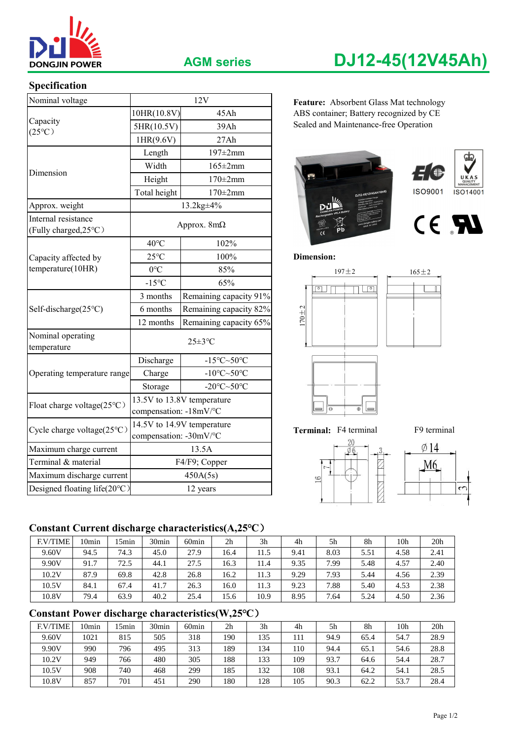

## **AGM series DJ12-45(12V45Ah)**

## **Specification**

| Nominal voltage                              |                                                          | 12V                        | Feature: Absorbent Glass Mat technology            |  |  |  |  |  |
|----------------------------------------------|----------------------------------------------------------|----------------------------|----------------------------------------------------|--|--|--|--|--|
|                                              | 10HR(10.8V)<br>45Ah                                      |                            | ABS container; Battery recognized by CE            |  |  |  |  |  |
| Capacity<br>$(25^{\circ}C)$                  | 5HR(10.5V)                                               | 39Ah                       | Sealed and Maintenance-free Operation              |  |  |  |  |  |
|                                              | 1HR(9.6V)                                                | 27Ah                       |                                                    |  |  |  |  |  |
|                                              | Length                                                   | 197±2mm                    | œ,                                                 |  |  |  |  |  |
| Dimension                                    | Width<br>$165 \pm 2$ mm                                  |                            |                                                    |  |  |  |  |  |
|                                              | Height                                                   | $170\pm2$ mm               |                                                    |  |  |  |  |  |
|                                              | Total height                                             | $170\pm2$ mm               | <b>ISO9001</b><br>ISO14001<br>DJ12-45(12V45AH/10HP |  |  |  |  |  |
| Approx. weight                               |                                                          | 13.2kg±4%                  |                                                    |  |  |  |  |  |
| Internal resistance<br>(Fully charged, 25°C) |                                                          | Approx. $8m\Omega$         | CE RI                                              |  |  |  |  |  |
|                                              | $40^{\circ}$ C<br>102%                                   |                            |                                                    |  |  |  |  |  |
| Capacity affected by                         | $25^{\circ}$ C                                           | 100%                       | <b>Dimension:</b>                                  |  |  |  |  |  |
| temperature(10HR)                            | $0^{\circ}C$                                             | 85%                        | $197 + 2$<br>$165 \pm 2$                           |  |  |  |  |  |
|                                              | $-15^{\circ}C$                                           | 65%                        | $\sqrt{2}$<br>ا⊙                                   |  |  |  |  |  |
|                                              | Remaining capacity 91%<br>3 months                       |                            |                                                    |  |  |  |  |  |
| Self-discharge(25°C)                         | 6 months                                                 | Remaining capacity 82%     | $170 + 2$                                          |  |  |  |  |  |
|                                              | 12 months                                                | Remaining capacity 65%     |                                                    |  |  |  |  |  |
| Nominal operating<br>temperature             |                                                          | $25 \pm 3$ °C              |                                                    |  |  |  |  |  |
|                                              | Discharge<br>$-15^{\circ}$ C $\sim$ 50 $^{\circ}$ C      |                            |                                                    |  |  |  |  |  |
| Operating temperature range                  | -10 $\textdegree$ C $\sim$ 50 $\textdegree$ C<br>Charge  |                            |                                                    |  |  |  |  |  |
|                                              | -20 $\textdegree$ C $\sim$ 50 $\textdegree$ C<br>Storage |                            |                                                    |  |  |  |  |  |
| Float charge voltage(25°C)                   | compensation: -18mV/°C                                   | 13.5V to 13.8V temperature | $\Theta$<br>$\oplus$                               |  |  |  |  |  |
| Cycle charge voltage $(25^{\circ}C)$         | compensation: -30mV/°C                                   | 14.5V to 14.9V temperature | Terminal: F4 terminal<br>F9 terminal               |  |  |  |  |  |
| Maximum charge current                       | 13.5A                                                    |                            | $\emptyset$ 14                                     |  |  |  |  |  |
| Terminal & material                          | F4/F9; Copper                                            |                            | М6                                                 |  |  |  |  |  |
| Maximum discharge current                    |                                                          | 450A(5s)                   | 16                                                 |  |  |  |  |  |
| Designed floating life(20°C)                 |                                                          | 12 years                   | $\sim$                                             |  |  |  |  |  |

Feature: Absorbent Glass Mat technology 10HR(10.8V) 45Ah ABS container; Battery recognized by CE













## **Constant Current discharge characteristics(A,25℃**)

| <b>F.V/TIME</b> | l0min | 5 <sub>min</sub> | 30 <sub>min</sub> | 60 <sub>min</sub> | 2 <sub>h</sub> | 3 <sub>h</sub> | 4h   | 5h   | 8h   | 10h  | 20h  |
|-----------------|-------|------------------|-------------------|-------------------|----------------|----------------|------|------|------|------|------|
| 9.60V           | 94.5  | 74.3             | 45.0              | 27.9              | 16.4           | 11.5           | 9.41 | 8.03 | 5.51 | 4.58 | 2.41 |
| 9.90V           | 91.7  | 72.5             | 44.1              | 27.5              | 16.3           | 11.4           | 9.35 | 7.99 | 5.48 | 4.57 | 2.40 |
| 10.2V           | 87.9  | 69.8             | 42.8              | 26.8              | 16.2           | 11.3           | 9.29 | 7.93 | 5.44 | 4.56 | 2.39 |
| 10.5V           | 84.1  | 67.4             | 41.7              | 26.3              | 16.0           | 11.3           | 9.23 | 7.88 | 5.40 | 4.53 | 2.38 |
| 10.8V           | 79.4  | 63.9             | 40.2              | 25.4              | 15.6           | 10.9           | 8.95 | 7.64 | 5.24 | 4.50 | 2.36 |

## **Constant Power discharge characteristics(W,25℃**)

| <b>F.V/TIME</b> | l0min | 5 <sub>min</sub> | 30 <sub>min</sub> | 60min | 2 <sub>h</sub> | 3 <sub>h</sub> | 4h  | 5h   | 8h   | 10h  | 20 <sub>h</sub> |
|-----------------|-------|------------------|-------------------|-------|----------------|----------------|-----|------|------|------|-----------------|
| 9.60V           | 1021  | 815              | 505               | 318   | 190            | 135            | 111 | 94.9 | 65.4 | 54.7 | 28.9            |
| 9.90V           | 990   | 796              | 495               | 313   | 189            | 134            | 110 | 94.4 | 65.1 | 54.6 | 28.8            |
| 10.2V           | 949   | 766              | 480               | 305   | 188            | 133            | 109 | 93.7 | 64.6 | 54.4 | 28.7            |
| 10.5V           | 908   | 740              | 468               | 299   | 185            | 132            | 108 | 93.1 | 64.2 | 54.1 | 28.5            |
| 10.8V           | 857   | 701              | 451               | 290   | 180            | 128            | 105 | 90.3 | 62.2 | 53.7 | 28.4            |